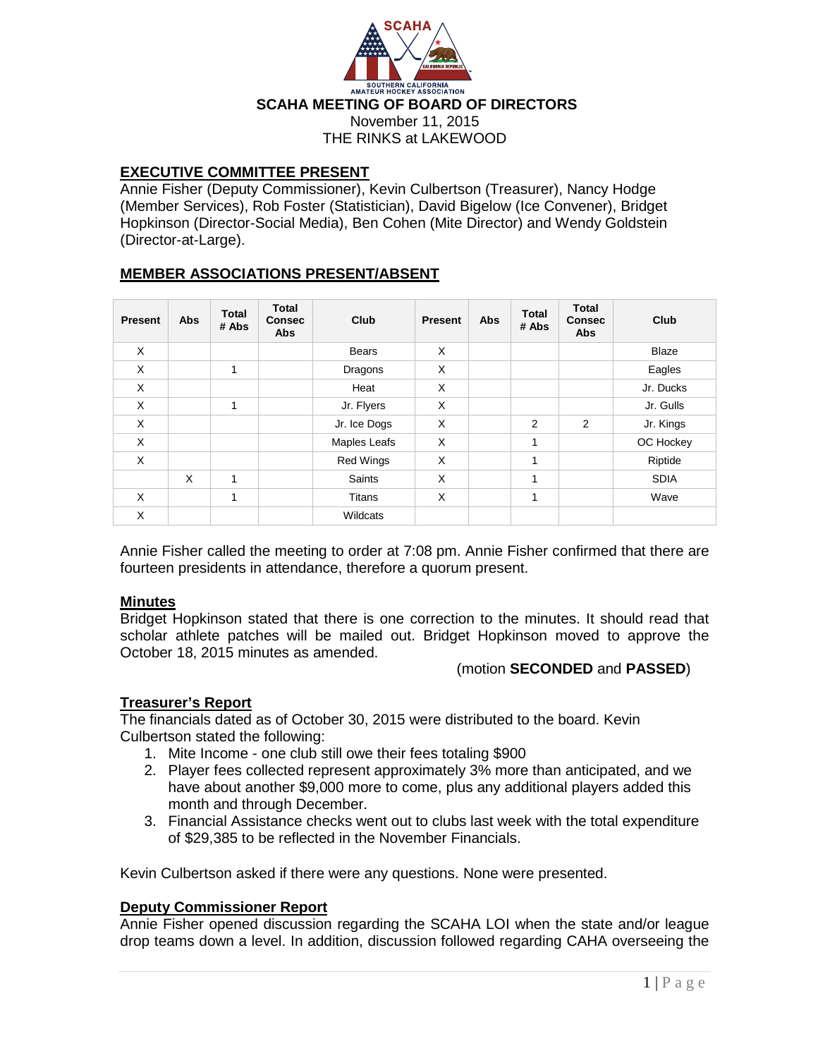

# **EXECUTIVE COMMITTEE PRESENT**

Annie Fisher (Deputy Commissioner), Kevin Culbertson (Treasurer), Nancy Hodge (Member Services), Rob Foster (Statistician), David Bigelow (Ice Convener), Bridget Hopkinson (Director-Social Media), Ben Cohen (Mite Director) and Wendy Goldstein (Director-at-Large).

# **MEMBER ASSOCIATIONS PRESENT/ABSENT**

| <b>Present</b> | <b>Abs</b> | <b>Total</b><br># Abs | <b>Total</b><br><b>Consec</b><br><b>Abs</b> | Club          | <b>Present</b> | <b>Abs</b> | <b>Total</b><br># Abs | <b>Total</b><br><b>Consec</b><br><b>Abs</b> | Club         |
|----------------|------------|-----------------------|---------------------------------------------|---------------|----------------|------------|-----------------------|---------------------------------------------|--------------|
| X              |            |                       |                                             | <b>Bears</b>  | X              |            |                       |                                             | <b>Blaze</b> |
| X              |            | 1                     |                                             | Dragons       | X              |            |                       |                                             | Eagles       |
| X              |            |                       |                                             | Heat          | X              |            |                       |                                             | Jr. Ducks    |
| X              |            | 4                     |                                             | Jr. Flyers    | X              |            |                       |                                             | Jr. Gulls    |
| X              |            |                       |                                             | Jr. Ice Dogs  | X              |            | 2                     | 2                                           | Jr. Kings    |
| X              |            |                       |                                             | Maples Leafs  | X              |            | 1                     |                                             | OC Hockey    |
| X              |            |                       |                                             | Red Wings     | X              |            | 1                     |                                             | Riptide      |
|                | X          | $\mathbf{1}$          |                                             | <b>Saints</b> | X              |            | 1                     |                                             | <b>SDIA</b>  |
| X              |            | 1                     |                                             | Titans        | X              |            | 1                     |                                             | Wave         |
| X              |            |                       |                                             | Wildcats      |                |            |                       |                                             |              |

Annie Fisher called the meeting to order at 7:08 pm. Annie Fisher confirmed that there are fourteen presidents in attendance, therefore a quorum present.

### **Minutes**

Bridget Hopkinson stated that there is one correction to the minutes. It should read that scholar athlete patches will be mailed out. Bridget Hopkinson moved to approve the October 18, 2015 minutes as amended.

### (motion **SECONDED** and **PASSED**)

# **Treasurer's Report**

The financials dated as of October 30, 2015 were distributed to the board. Kevin Culbertson stated the following:

- 1. Mite Income one club still owe their fees totaling \$900
- 2. Player fees collected represent approximately 3% more than anticipated, and we have about another \$9,000 more to come, plus any additional players added this month and through December.
- 3. Financial Assistance checks went out to clubs last week with the total expenditure of \$29,385 to be reflected in the November Financials.

Kevin Culbertson asked if there were any questions. None were presented.

# **Deputy Commissioner Report**

Annie Fisher opened discussion regarding the SCAHA LOI when the state and/or league drop teams down a level. In addition, discussion followed regarding CAHA overseeing the